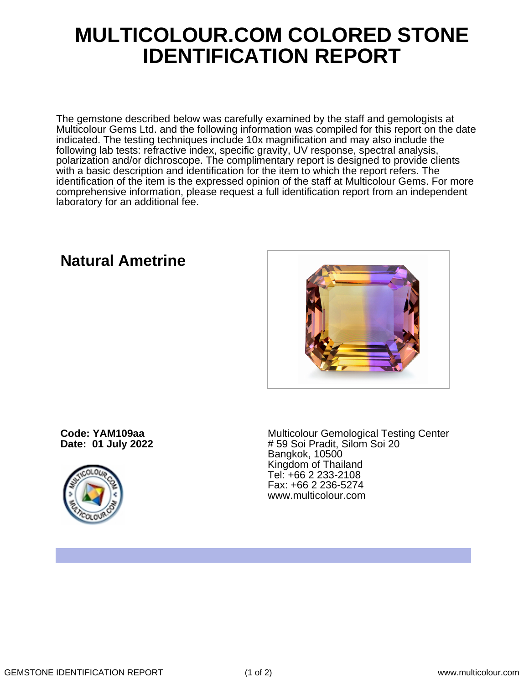## **MULTICOLOUR.COM COLORED STONE IDENTIFICATION REPORT**

The gemstone described below was carefully examined by the staff and gemologists at Multicolour Gems Ltd. and the following information was compiled for this report on the date indicated. The testing techniques include 10x magnification and may also include the following lab tests: refractive index, specific gravity, UV response, spectral analysis, polarization and/or dichroscope. The complimentary report is designed to provide clients with a basic description and identification for the item to which the report refers. The identification of the item is the expressed opinion of the staff at Multicolour Gems. For more comprehensive information, please request a full identification report from an independent laboratory for an additional fee.

## **Natural Ametrine**



**Code: YAM109aa Date: 01 July 2022**



Multicolour Gemological Testing Center # 59 Soi Pradit, Silom Soi 20 Bangkok, 10500 Kingdom of Thailand Tel: +66 2 233-2108 Fax: +66 2 236-5274 www.multicolour.com